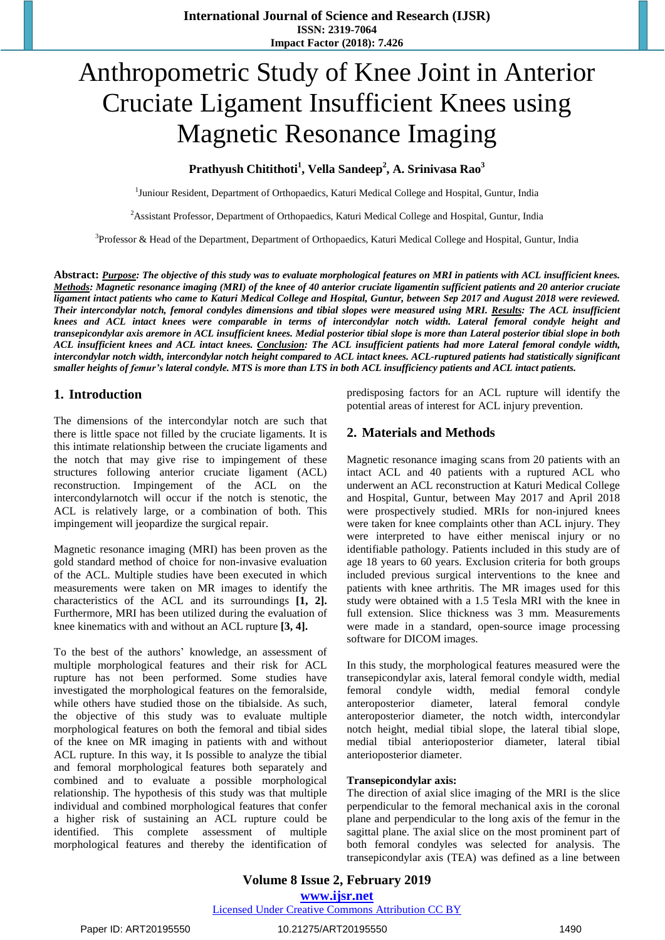# Anthropometric Study of Knee Joint in Anterior Cruciate Ligament Insufficient Knees using Magnetic Resonance Imaging

# **Prathyush Chitithoti<sup>1</sup> , Vella Sandeep<sup>2</sup> , A. Srinivasa Rao<sup>3</sup>**

<sup>1</sup>Juniour Resident, Department of Orthopaedics, Katuri Medical College and Hospital, Guntur, India

<sup>2</sup> Assistant Professor, Department of Orthopaedics, Katuri Medical College and Hospital, Guntur, India

<sup>3</sup>Professor & Head of the Department, Department of Orthopaedics, Katuri Medical College and Hospital, Guntur, India

Abstract: Purpose: The objective of this study was to evaluate morphological features on MRI in patients with ACL insufficient knees. Methods: Magnetic resonance imaging (MRI) of the knee of 40 anterior cruciate ligamentin sufficient patients and 20 anterior cruciate ligament intact patients who came to Katuri Medical College and Hospital, Guntur, between Sep 2017 and August 2018 were reviewed. Their intercondylar notch, femoral condyles dimensions and tibial slopes were measured using MRI. Results: The ACL insufficient knees and ACL intact knees were comparable in terms of intercondylar notch width. Lateral femoral condyle height and transepicondylar axis aremore in ACL insufficient knees. Medial posterior tibial slope is more than Lateral posterior tibial slope in both ACL insufficient knees and ACL intact knees. Conclusion: The ACL insufficient patients had more Lateral femoral condyle width, intercondylar notch width, intercondylar notch height compared to ACL intact knees. ACL-ruptured patients had statistically significant smaller heights of femur's lateral condyle. MTS is more than LTS in both ACL insufficiency patients and ACL intact patients.

# **1. Introduction**

The dimensions of the intercondylar notch are such that there is little space not filled by the cruciate ligaments. It is this intimate relationship between the cruciate ligaments and the notch that may give rise to impingement of these structures following anterior cruciate ligament (ACL) reconstruction. Impingement of the ACL on the intercondylarnotch will occur if the notch is stenotic, the ACL is relatively large, or a combination of both. This impingement will jeopardize the surgical repair.

Magnetic resonance imaging (MRI) has been proven as the gold standard method of choice for non-invasive evaluation of the ACL. Multiple studies have been executed in which measurements were taken on MR images to identify the characteristics of the ACL and its surroundings **[1, 2].** Furthermore, MRI has been utilized during the evaluation of knee kinematics with and without an ACL rupture **[3, 4].**

To the best of the authors' knowledge, an assessment of multiple morphological features and their risk for ACL rupture has not been performed. Some studies have investigated the morphological features on the femoralside, while others have studied those on the tibialside. As such, the objective of this study was to evaluate multiple morphological features on both the femoral and tibial sides of the knee on MR imaging in patients with and without ACL rupture. In this way, it Is possible to analyze the tibial and femoral morphological features both separately and combined and to evaluate a possible morphological relationship. The hypothesis of this study was that multiple individual and combined morphological features that confer a higher risk of sustaining an ACL rupture could be identified. This complete assessment of multiple morphological features and thereby the identification of predisposing factors for an ACL rupture will identify the potential areas of interest for ACL injury prevention.

# **2. Materials and Methods**

Magnetic resonance imaging scans from 20 patients with an intact ACL and 40 patients with a ruptured ACL who underwent an ACL reconstruction at Katuri Medical College and Hospital, Guntur, between May 2017 and April 2018 were prospectively studied. MRIs for non-injured knees were taken for knee complaints other than ACL injury. They were interpreted to have either meniscal injury or no identifiable pathology. Patients included in this study are of age 18 years to 60 years. Exclusion criteria for both groups included previous surgical interventions to the knee and patients with knee arthritis. The MR images used for this study were obtained with a 1.5 Tesla MRI with the knee in full extension. Slice thickness was 3 mm. Measurements were made in a standard, open-source image processing software for DICOM images.

In this study, the morphological features measured were the transepicondylar axis, lateral femoral condyle width, medial femoral condyle width, medial femoral condyle anteroposterior diameter, lateral femoral condyle anteroposterior diameter, the notch width, intercondylar notch height, medial tibial slope, the lateral tibial slope, medial tibial anterioposterior diameter, lateral tibial anterioposterior diameter.

#### **Transepicondylar axis:**

The direction of axial slice imaging of the MRI is the slice perpendicular to the femoral mechanical axis in the coronal plane and perpendicular to the long axis of the femur in the sagittal plane. The axial slice on the most prominent part of both femoral condyles was selected for analysis. The transepicondylar axis (TEA) was defined as a line between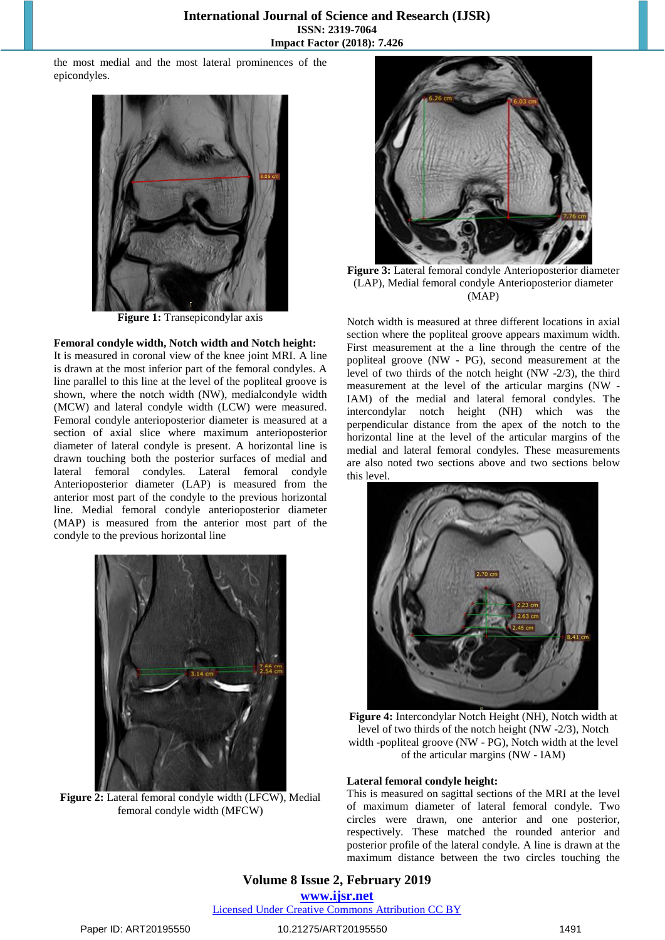the most medial and the most lateral prominences of the epicondyles.



**Figure 1:** Transepicondylar axis

#### **Femoral condyle width, Notch width and Notch height:**

It is measured in coronal view of the knee joint MRI. A line is drawn at the most inferior part of the femoral condyles. A line parallel to this line at the level of the popliteal groove is shown, where the notch width (NW), medialcondyle width (MCW) and lateral condyle width (LCW) were measured. Femoral condyle anterioposterior diameter is measured at a section of axial slice where maximum anterioposterior diameter of lateral condyle is present. A horizontal line is drawn touching both the posterior surfaces of medial and lateral femoral condyles. Lateral femoral condyle Anterioposterior diameter (LAP) is measured from the anterior most part of the condyle to the previous horizontal line. Medial femoral condyle anterioposterior diameter (MAP) is measured from the anterior most part of the condyle to the previous horizontal line



**Figure 2:** Lateral femoral condyle width (LFCW), Medial femoral condyle width (MFCW)



**Figure 3:** Lateral femoral condyle Anterioposterior diameter (LAP), Medial femoral condyle Anterioposterior diameter (MAP)

Notch width is measured at three different locations in axial section where the popliteal groove appears maximum width. First measurement at the a line through the centre of the popliteal groove (NW - PG), second measurement at the level of two thirds of the notch height (NW -2/3), the third measurement at the level of the articular margins (NW - IAM) of the medial and lateral femoral condyles. The intercondylar notch height (NH) which was the perpendicular distance from the apex of the notch to the horizontal line at the level of the articular margins of the medial and lateral femoral condyles. These measurements are also noted two sections above and two sections below this level.



**Figure 4:** Intercondylar Notch Height (NH), Notch width at level of two thirds of the notch height (NW -2/3), Notch width -popliteal groove (NW - PG), Notch width at the level of the articular margins (NW - IAM)

#### **Lateral femoral condyle height:**

This is measured on sagittal sections of the MRI at the level of maximum diameter of lateral femoral condyle. Two circles were drawn, one anterior and one posterior, respectively. These matched the rounded anterior and posterior profile of the lateral condyle. A line is drawn at the maximum distance between the two circles touching the

### **Volume 8 Issue 2, February 2019 www.ijsr.net** Licensed Under Creative Commons Attribution CC BY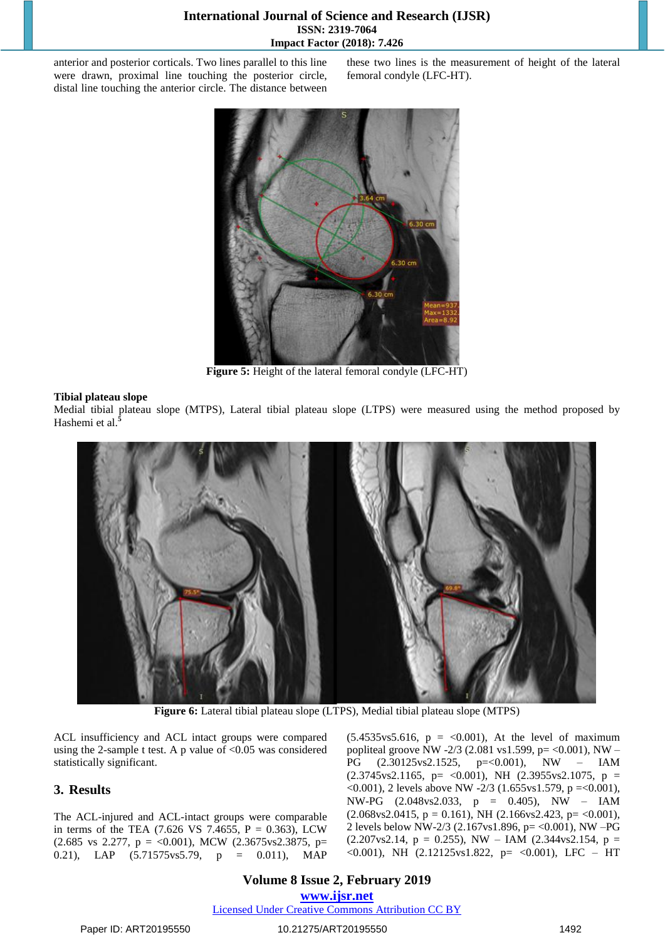#### **International Journal of Science and Research (IJSR) ISSN: 2319-7064 Impact Factor (2018): 7.426**

anterior and posterior corticals. Two lines parallel to this line were drawn, proximal line touching the posterior circle, distal line touching the anterior circle. The distance between these two lines is the measurement of height of the lateral femoral condyle (LFC-HT).



**Figure 5:** Height of the lateral femoral condyle (LFC-HT)

#### **Tibial plateau slope**

Medial tibial plateau slope (MTPS), Lateral tibial plateau slope (LTPS) were measured using the method proposed by Hashemi et al.**<sup>5</sup>**



**Figure 6:** Lateral tibial plateau slope (LTPS), Medial tibial plateau slope (MTPS)

ACL insufficiency and ACL intact groups were compared using the 2-sample t test. A p value of <0.05 was considered statistically significant.

#### **3. Results**

The ACL-injured and ACL-intact groups were comparable in terms of the TEA  $(7.626 \text{ VS } 7.4655, \text{ P } = 0.363)$ , LCW  $(2.685 \text{ vs } 2.277, \text{ p} = <0.001)$ , MCW  $(2.3675 \text{ vs } 2.3875, \text{ p} =$ 0.21), LAP (5.71575vs5.79, p = 0.011), MAP  $(5.4535 \text{vs} 5.616, p = <0.001)$ , At the level of maximum popliteal groove NW -2/3 (2.081 vs1.599, p= <0.001), NW – PG (2.30125vs2.1525, p=<0.001), NW – IAM  $(2.3745 \text{vs} 2.1165, \text{p} = \langle 0.001 \rangle, \text{NH} (2.3955 \text{vs} 2.1075, \text{p} =$  $\leq 0.001$ ), 2 levels above NW -2/3 (1.655vs1.579, p =  $\leq 0.001$ ), NW-PG (2.048vs2.033, p = 0.405), NW – IAM  $(2.068 \text{vs} 2.0415, \text{p} = 0.161)$ , NH  $(2.166 \text{vs} 2.423, \text{p} = <0.001)$ , 2 levels below NW-2/3 (2.167vs1.896, p= <0.001), NW –PG  $(2.207 \text{vs} 2.14, \text{ p} = 0.255)$ , NW – IAM  $(2.344 \text{vs} 2.154, \text{ p} =$  $< 0.001$ ), NH  $(2.12125 \text{vs} 1.822, \text{p} = < 0.001)$ , LFC – HT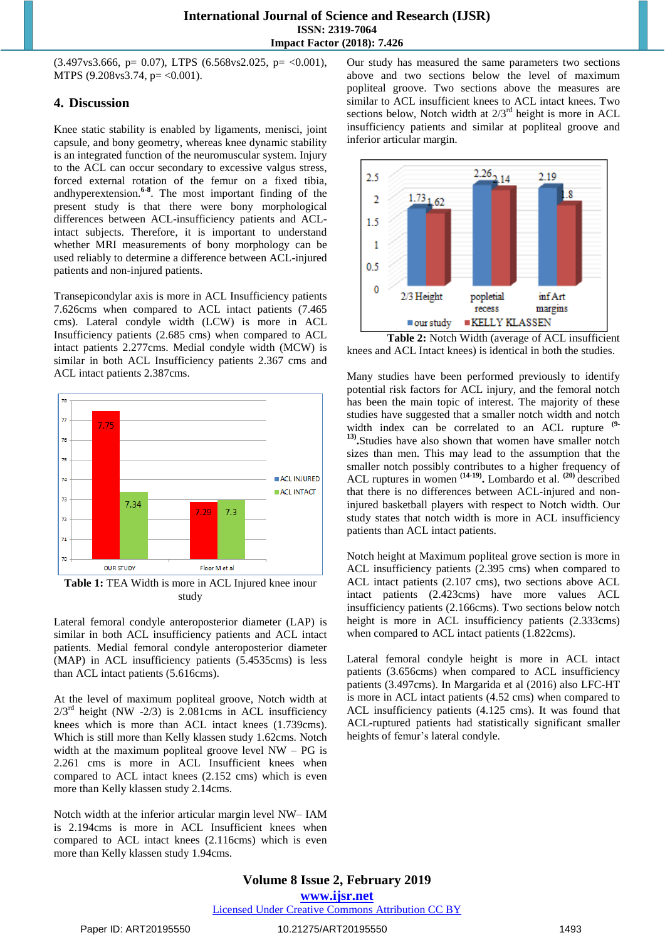$(3.497 \text{vs}3.666, \text{p} = 0.07)$ , LTPS  $(6.568 \text{vs}2.025, \text{p} = \langle 0.001 \rangle)$ , MTPS (9.208 $vs3.74$ , p= <0.001).

#### **4. Discussion**

Knee static stability is enabled by ligaments, menisci, joint capsule, and bony geometry, whereas knee dynamic stability is an integrated function of the neuromuscular system. Injury to the ACL can occur secondary to excessive valgus stress, forced external rotation of the femur on a fixed tibia, andhyperextension.**6-8** . The most important finding of the present study is that there were bony morphological differences between ACL-insufficiency patients and ACLintact subjects. Therefore, it is important to understand whether MRI measurements of bony morphology can be used reliably to determine a difference between ACL-injured patients and non-injured patients.

Transepicondylar axis is more in ACL Insufficiency patients 7.626cms when compared to ACL intact patients (7.465 cms). Lateral condyle width (LCW) is more in ACL Insufficiency patients (2.685 cms) when compared to ACL intact patients 2.277cms. Medial condyle width (MCW) is similar in both ACL Insufficiency patients 2.367 cms and ACL intact patients 2.387cms.



**Table 1:** TEA Width is more in ACL Injured knee inour study

Lateral femoral condyle anteroposterior diameter (LAP) is similar in both ACL insufficiency patients and ACL intact patients. Medial femoral condyle anteroposterior diameter (MAP) in ACL insufficiency patients (5.4535cms) is less than ACL intact patients (5.616cms).

At the level of maximum popliteal groove, Notch width at  $2/3<sup>rd</sup>$  height (NW -2/3) is 2.081cms in ACL insufficiency knees which is more than ACL intact knees (1.739cms). Which is still more than Kelly klassen study 1.62cms. Notch width at the maximum popliteal groove level  $NW - PG$  is 2.261 cms is more in ACL Insufficient knees when compared to ACL intact knees (2.152 cms) which is even more than Kelly klassen study 2.14cms.

Notch width at the inferior articular margin level NW– IAM is 2.194cms is more in ACL Insufficient knees when compared to ACL intact knees (2.116cms) which is even more than Kelly klassen study 1.94cms.

Our study has measured the same parameters two sections above and two sections below the level of maximum popliteal groove. Two sections above the measures are similar to ACL insufficient knees to ACL intact knees. Two sections below, Notch width at  $2/3<sup>rd</sup>$  height is more in ACL insufficiency patients and similar at popliteal groove and inferior articular margin.



**Table 2:** Notch Width (average of ACL insufficient knees and ACL Intact knees) is identical in both the studies.

Many studies have been performed previously to identify potential risk factors for ACL injury, and the femoral notch has been the main topic of interest. The majority of these studies have suggested that a smaller notch width and notch width index can be correlated to an ACL rupture **(9- 13) .**Studies have also shown that women have smaller notch sizes than men. This may lead to the assumption that the smaller notch possibly contributes to a higher frequency of ACL ruptures in women **(14-19) .** Lombardo et al. **(20)** described that there is no differences between ACL-injured and noninjured basketball players with respect to Notch width. Our study states that notch width is more in ACL insufficiency patients than ACL intact patients.

Notch height at Maximum popliteal grove section is more in ACL insufficiency patients (2.395 cms) when compared to ACL intact patients (2.107 cms), two sections above ACL intact patients (2.423cms) have more values ACL insufficiency patients (2.166cms). Two sections below notch height is more in ACL insufficiency patients (2.333cms) when compared to ACL intact patients (1.822cms).

Lateral femoral condyle height is more in ACL intact patients (3.656cms) when compared to ACL insufficiency patients (3.497cms). In Margarida et al (2016) also LFC-HT is more in ACL intact patients (4.52 cms) when compared to ACL insufficiency patients (4.125 cms). It was found that ACL-ruptured patients had statistically significant smaller heights of femur's lateral condyle.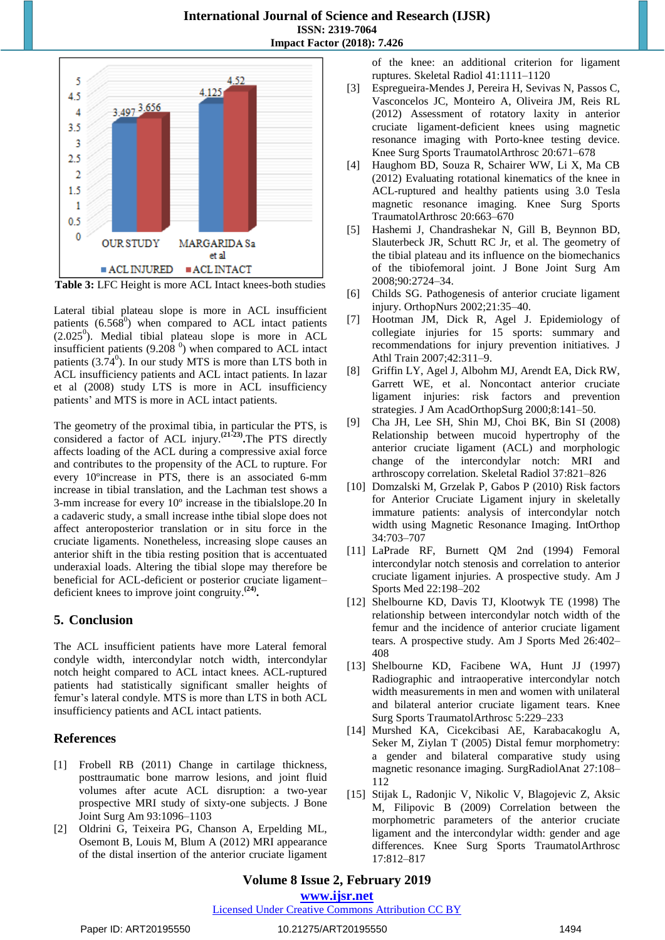

**Table 3:** LFC Height is more ACL Intact knees-both studies

Lateral tibial plateau slope is more in ACL insufficient patients  $(6.568^0)$  when compared to ACL intact patients  $(2.025^0)$ . Medial tibial plateau slope is more in ACL insufficient patients (9.208 $^{0}$ ) when compared to ACL intact patients  $(3.74^0)$ . In our study MTS is more than LTS both in ACL insufficiency patients and ACL intact patients. In lazar et al (2008) study LTS is more in ACL insufficiency patients' and MTS is more in ACL intact patients.

The geometry of the proximal tibia, in particular the PTS, is considered a factor of ACL injury.**(21-23) .**The PTS directly affects loading of the ACL during a compressive axial force and contributes to the propensity of the ACL to rupture. For every 10ºincrease in PTS, there is an associated 6-mm increase in tibial translation, and the Lachman test shows a 3-mm increase for every 10º increase in the tibialslope.20 In a cadaveric study, a small increase inthe tibial slope does not affect anteroposterior translation or in situ force in the cruciate ligaments. Nonetheless, increasing slope causes an anterior shift in the tibia resting position that is accentuated underaxial loads. Altering the tibial slope may therefore be beneficial for ACL-deficient or posterior cruciate ligament– deficient knees to improve joint congruity.**(24) .**

#### **5. Conclusion**

The ACL insufficient patients have more Lateral femoral condyle width, intercondylar notch width, intercondylar notch height compared to ACL intact knees. ACL-ruptured patients had statistically significant smaller heights of femur's lateral condyle. MTS is more than LTS in both ACL insufficiency patients and ACL intact patients.

# **References**

- [1] Frobell RB (2011) Change in cartilage thickness, posttraumatic bone marrow lesions, and joint fluid volumes after acute ACL disruption: a two-year prospective MRI study of sixty-one subjects. J Bone Joint Surg Am 93:1096–1103
- [2] Oldrini G, Teixeira PG, Chanson A, Erpelding ML, Osemont B, Louis M, Blum A (2012) MRI appearance of the distal insertion of the anterior cruciate ligament

of the knee: an additional criterion for ligament ruptures. Skeletal Radiol 41:1111–1120

- [3] Espregueira-Mendes J, Pereira H, Sevivas N, Passos C, Vasconcelos JC, Monteiro A, Oliveira JM, Reis RL (2012) Assessment of rotatory laxity in anterior cruciate ligament-deficient knees using magnetic resonance imaging with Porto-knee testing device. Knee Surg Sports TraumatolArthrosc 20:671–678
- [4] Haughom BD, Souza R, Schairer WW, Li X, Ma CB (2012) Evaluating rotational kinematics of the knee in ACL-ruptured and healthy patients using 3.0 Tesla magnetic resonance imaging. Knee Surg Sports TraumatolArthrosc 20:663–670
- [5] Hashemi J, Chandrashekar N, Gill B, Beynnon BD, Slauterbeck JR, Schutt RC Jr, et al. The geometry of the tibial plateau and its influence on the biomechanics of the tibiofemoral joint. J Bone Joint Surg Am 2008;90:2724–34.
- [6] Childs SG. Pathogenesis of anterior cruciate ligament injury. OrthopNurs 2002;21:35–40.
- [7] Hootman JM, Dick R, Agel J. Epidemiology of collegiate injuries for 15 sports: summary and recommendations for injury prevention initiatives. J Athl Train 2007;42:311–9.
- [8] Griffin LY, Agel J, Albohm MJ, Arendt EA, Dick RW, Garrett WE, et al. Noncontact anterior cruciate ligament injuries: risk factors and prevention strategies. J Am AcadOrthopSurg 2000;8:141–50.
- [9] Cha JH, Lee SH, Shin MJ, Choi BK, Bin SI (2008) Relationship between mucoid hypertrophy of the anterior cruciate ligament (ACL) and morphologic change of the intercondylar notch: MRI and arthroscopy correlation. Skeletal Radiol 37:821–826
- [10] Domzalski M, Grzelak P, Gabos P (2010) Risk factors for Anterior Cruciate Ligament injury in skeletally immature patients: analysis of intercondylar notch width using Magnetic Resonance Imaging. IntOrthop 34:703–707
- [11] LaPrade RF, Burnett QM 2nd (1994) Femoral intercondylar notch stenosis and correlation to anterior cruciate ligament injuries. A prospective study. Am J Sports Med 22:198–202
- [12] Shelbourne KD, Davis TJ, Klootwyk TE (1998) The relationship between intercondylar notch width of the femur and the incidence of anterior cruciate ligament tears. A prospective study. Am J Sports Med 26:402– 408
- [13] Shelbourne KD, Facibene WA, Hunt JJ (1997) Radiographic and intraoperative intercondylar notch width measurements in men and women with unilateral and bilateral anterior cruciate ligament tears. Knee Surg Sports TraumatolArthrosc 5:229–233
- [14] Murshed KA, Cicekcibasi AE, Karabacakoglu A, Seker M, Ziylan T (2005) Distal femur morphometry: a gender and bilateral comparative study using magnetic resonance imaging. SurgRadiolAnat 27:108– 112
- [15] Stijak L, Radonjic V, Nikolic V, Blagojevic Z, Aksic M, Filipovic B (2009) Correlation between the morphometric parameters of the anterior cruciate ligament and the intercondylar width: gender and age differences. Knee Surg Sports TraumatolArthrosc 17:812–817

# **Volume 8 Issue 2, February 2019**

**www.ijsr.net**

Licensed Under Creative Commons Attribution CC BY